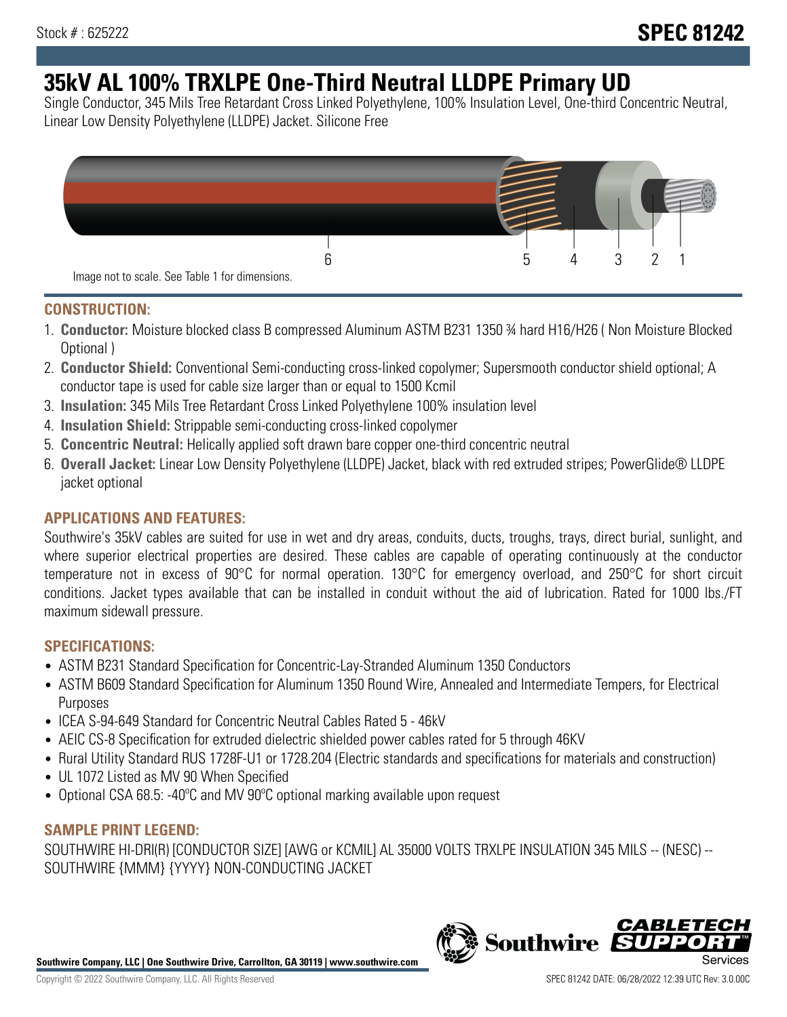# **35kV AL 100% TRXLPE One-Third Neutral LLDPE Primary UD**

Single Conductor, 345 Mils Tree Retardant Cross Linked Polyethylene, 100% Insulation Level, One-third Concentric Neutral, Linear Low Density Polyethylene (LLDPE) Jacket. Silicone Free



## **CONSTRUCTION:**

- 1. **Conductor:** Moisture blocked class B compressed Aluminum ASTM B231 1350 ¾ hard H16/H26 ( Non Moisture Blocked Optional )
- 2. **Conductor Shield:** Conventional Semi-conducting cross-linked copolymer; Supersmooth conductor shield optional; A conductor tape is used for cable size larger than or equal to 1500 Kcmil
- 3. **Insulation:** 345 Mils Tree Retardant Cross Linked Polyethylene 100% insulation level
- 4. **Insulation Shield:** Strippable semi-conducting cross-linked copolymer
- 5. **Concentric Neutral:** Helically applied soft drawn bare copper one-third concentric neutral
- 6. **Overall Jacket:** Linear Low Density Polyethylene (LLDPE) Jacket, black with red extruded stripes; PowerGlide® LLDPE jacket optional

# **APPLICATIONS AND FEATURES:**

Southwire's 35kV cables are suited for use in wet and dry areas, conduits, ducts, troughs, trays, direct burial, sunlight, and where superior electrical properties are desired. These cables are capable of operating continuously at the conductor temperature not in excess of 90°C for normal operation. 130°C for emergency overload, and 250°C for short circuit conditions. Jacket types available that can be installed in conduit without the aid of lubrication. Rated for 1000 lbs./FT maximum sidewall pressure.

## **SPECIFICATIONS:**

- ASTM B231 Standard Specification for Concentric-Lay-Stranded Aluminum 1350 Conductors
- ASTM B609 Standard Specification for Aluminum 1350 Round Wire, Annealed and Intermediate Tempers, for Electrical Purposes
- ICEA S-94-649 Standard for Concentric Neutral Cables Rated 5 46kV
- AEIC CS-8 Specification for extruded dielectric shielded power cables rated for 5 through 46KV
- Rural Utility Standard RUS 1728F-U1 or 1728.204 (Electric standards and specifications for materials and construction)
- UL 1072 Listed as MV 90 When Specified
- Optional CSA 68.5: -40ºC and MV 90ºC optional marking available upon request

## **SAMPLE PRINT LEGEND:**

SOUTHWIRE HI-DRI(R) [CONDUCTOR SIZE] [AWG or KCMIL] AL 35000 VOLTS TRXLPE INSULATION 345 MILS -- (NESC) -- SOUTHWIRE {MMM} {YYYY} NON-CONDUCTING JACKET

**Southwire Company, LLC | One Southwire Drive, Carrollton, GA 30119 | www.southwire.com**

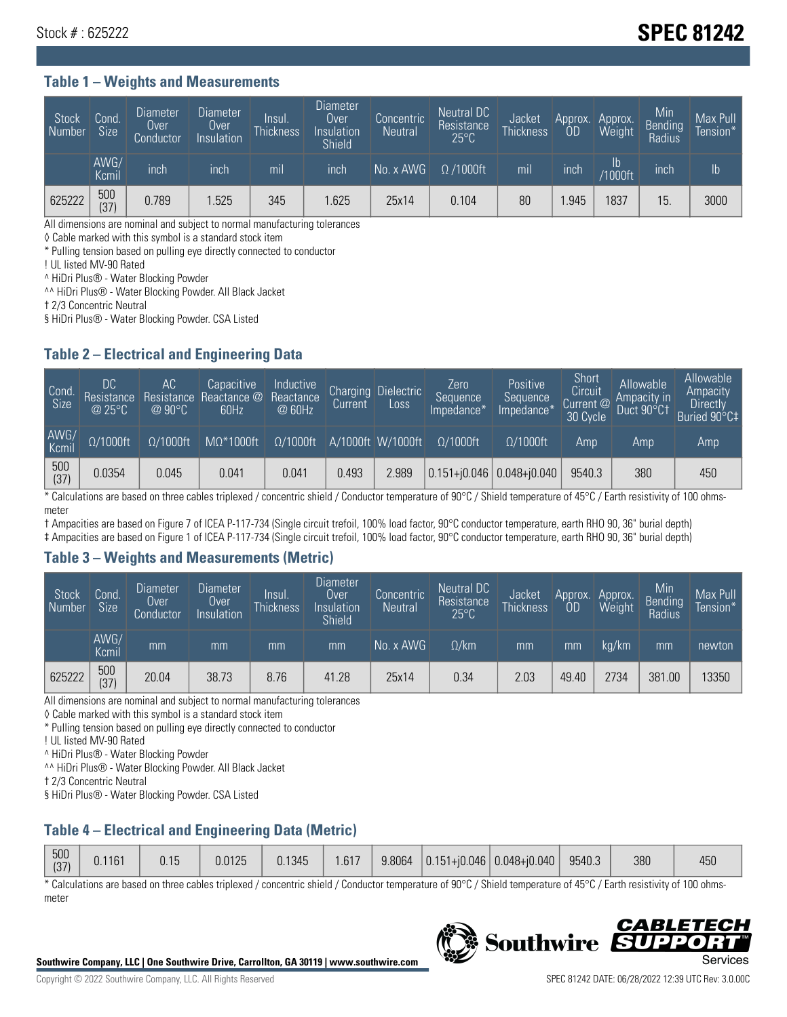# Stock # : 625222 **SPEC 81242**

#### **Table 1 – Weights and Measurements**

| Stock<br>Number | Cond<br>Size <sup>'</sup> | <b>Diameter</b><br><b>Over</b><br>Conductor | <b>Diameter</b><br>Over<br>Insulation | lnsul.<br><b>Thickness</b> | Diameter<br>Over<br>Insulation<br><b>Shield</b> | Concentric<br><b>Neutral</b> | Neutral DC<br>Resistance<br>$25^{\circ}$ C | Jacket<br><b>Thickness</b> | Approx.<br>OD | Approx.<br>Weight     | Min<br><b>Bending</b><br>Radius | Max Pull<br>Tension*' |
|-----------------|---------------------------|---------------------------------------------|---------------------------------------|----------------------------|-------------------------------------------------|------------------------------|--------------------------------------------|----------------------------|---------------|-----------------------|---------------------------------|-----------------------|
|                 | AWG/<br>Kcmil             | inch                                        | inch                                  | mil                        | inch                                            | No. x AWG                    | $\Omega$ /1000ft                           | mil                        | inch          | ID.<br><b>Y1000ft</b> | inch                            | I <sub>b</sub>        |
| 625222          | 500<br>(37)               | 0.789                                       | .525                                  | 345                        | .625                                            | 25x14                        | 0.104                                      | 80                         | .945          | 1837                  | 15                              | 3000                  |

All dimensions are nominal and subject to normal manufacturing tolerances

◊ Cable marked with this symbol is a standard stock item

\* Pulling tension based on pulling eye directly connected to conductor

! UL listed MV-90 Rated

^ HiDri Plus® - Water Blocking Powder

^^ HiDri Plus® - Water Blocking Powder. All Black Jacket

† 2/3 Concentric Neutral

§ HiDri Plus® - Water Blocking Powder. CSA Listed

## **Table 2 – Electrical and Engineering Data**

| Cond.<br>Size | 'DC<br>Resistance<br>@25°C | АC<br>Resistance<br>$\varpi$ 90°C | Capacitive<br>Reactance @<br>60Hz | Inductive<br>Reactance<br>@ 60Hz | <b>Charging</b><br>Current | <b>Dielectric</b><br>Loss | Zero<br>Sequence<br>Impedance* | <b>Positive</b><br>Sequence<br>Impedance <sup>+</sup> | Short<br>Circuit<br>Current <sup>@1</sup><br>30 Cycle | Allowable<br>Ampacity in<br>Duct 90°C1 | Allowable<br>Ampacity<br>Directly<br>Buried 90°C‡ |
|---------------|----------------------------|-----------------------------------|-----------------------------------|----------------------------------|----------------------------|---------------------------|--------------------------------|-------------------------------------------------------|-------------------------------------------------------|----------------------------------------|---------------------------------------------------|
| AWG/<br>Kcmil | $\Omega/1000$ ft           | $\Omega/1000$ ft                  | $M\Omega^*1000$ ft                | $\Omega/1000$ ft                 |                            | A/1000ft W/1000ft         | $\Omega/1000$ ft               | $\Omega$ /1000ft                                      | Amp                                                   | Amp                                    | Amp                                               |
| 500<br>(37)   | 0.0354                     | 0.045                             | 0.041                             | 0.041                            | 0.493                      | 2.989                     |                                | $0.151 + 0.046$ 0.048+ $0.040$                        | 9540.3                                                | 380                                    | 450                                               |

\* Calculations are based on three cables triplexed / concentric shield / Conductor temperature of 90°C / Shield temperature of 45°C / Earth resistivity of 100 ohmsmeter

† Ampacities are based on Figure 7 of ICEA P-117-734 (Single circuit trefoil, 100% load factor, 90°C conductor temperature, earth RHO 90, 36" burial depth)

‡ Ampacities are based on Figure 1 of ICEA P-117-734 (Single circuit trefoil, 100% load factor, 90°C conductor temperature, earth RHO 90, 36" burial depth)

#### **Table 3 – Weights and Measurements (Metric)**

| Stock<br>Number | Cond.<br>Size <sup>1</sup> | <b>Diameter</b><br>Over<br>Conductor | Diameter<br><b>Over</b><br>Insulation | Insul.<br><b>Thickness</b> | <b>Diameter</b><br>Over<br>Insulation<br><b>Shield</b> | Concentric<br>Neutral | Neutral DC<br>Resistance<br>$25^{\circ}$ C | <b>Jacket</b><br><b>Thickness</b> | Approx.<br>ОD | Approx.<br>Weight | Min<br>Bending | Max Pull<br>Tension* |
|-----------------|----------------------------|--------------------------------------|---------------------------------------|----------------------------|--------------------------------------------------------|-----------------------|--------------------------------------------|-----------------------------------|---------------|-------------------|----------------|----------------------|
|                 | AWG/<br>Kcmil              | mm                                   | mm                                    | mm                         | mm                                                     | No. x AWG             | $\Omega$ /km                               | mm                                | mm            | ka/km             | mm             | newton               |
| 625222          | 500<br>(37)                | 20.04                                | 38.73                                 | 8.76                       | 41.28                                                  | 25x14                 | 0.34                                       | 2.03                              | 49.40         | 2734              | 381.00         | 13350                |

All dimensions are nominal and subject to normal manufacturing tolerances

◊ Cable marked with this symbol is a standard stock item

\* Pulling tension based on pulling eye directly connected to conductor

! UL listed MV-90 Rated

^ HiDri Plus® - Water Blocking Powder

^^ HiDri Plus® - Water Blocking Powder. All Black Jacket

† 2/3 Concentric Neutral

§ HiDri Plus® - Water Blocking Powder. CSA Listed

# **Table 4 – Electrical and Engineering Data (Metric)**

| 500<br>(37) | 0.1161 | 0.15 | 0.0125 | 0.1345 | .617 | 9.8064 |  | $\vert$ 0.151+j0.046 0.048+j0.040 | 9540.3 | 380 | /ደሀ<br>ט∪+ |
|-------------|--------|------|--------|--------|------|--------|--|-----------------------------------|--------|-----|------------|
|-------------|--------|------|--------|--------|------|--------|--|-----------------------------------|--------|-----|------------|

\* Calculations are based on three cables triplexed / concentric shield / Conductor temperature of 90°C / Shield temperature of 45°C / Earth resistivity of 100 ohmsmeter



**Southwire** 

*CABLE*